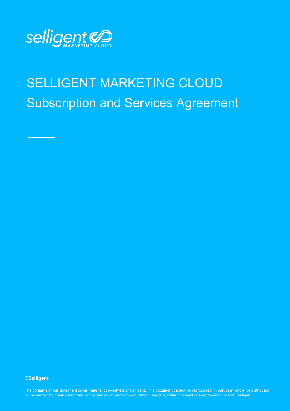

# SELLIGENT MARKETING CLOUD Subscription and Services Agreement

**©Selligent** 

or transferred by means electronic or mechanical or photocopied, without the prior written consent of a representative from Selligent.<br>. The contents of this document cover material copyrighted by Selligent. This document cannot be reproduced, in part or in whole, or distributed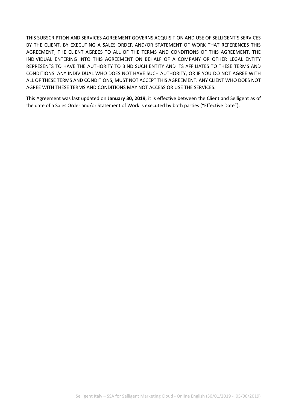THIS SUBSCRIPTION AND SERVICES AGREEMENT GOVERNS ACQUISITION AND USE OF SELLIGENT'S SERVICES BY THE CLIENT. BY EXECUTING A SALES ORDER AND/OR STATEMENT OF WORK THAT REFERENCES THIS AGREEMENT, THE CLIENT AGREES TO ALL OF THE TERMS AND CONDITIONS OF THIS AGREEMENT. THE INDIVIDUAL ENTERING INTO THIS AGREEMENT ON BEHALF OF A COMPANY OR OTHER LEGAL ENTITY REPRESENTS TO HAVE THE AUTHORITY TO BIND SUCH ENTITY AND ITS AFFILIATES TO THESE TERMS AND CONDITIONS. ANY INDIVIDUAL WHO DOES NOT HAVE SUCH AUTHORITY, OR IF YOU DO NOT AGREE WITH ALL OF THESE TERMS AND CONDITIONS, MUST NOT ACCEPT THIS AGREEMENT. ANY CLIENT WHO DOES NOT AGREE WITH THESE TERMS AND CONDITIONS MAY NOT ACCESS OR USE THE SERVICES.

This Agreement was last updated on **January 30, 2019**, it is effective between the Client and Selligent as of the date of a Sales Order and/or Statement of Work is executed by both parties ("Effective Date").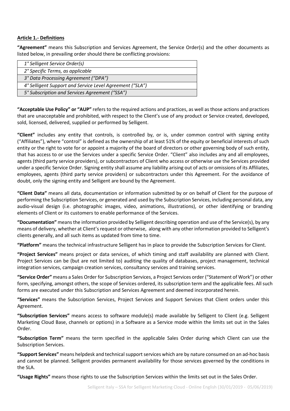#### **Article 1.- Definitions**

**"Agreement"** means this Subscription and Services Agreement, the Service Order(s) and the other documents as listed below, in prevailing order should there be conflicting provisions:

| 1° Selligent Service Order(s)                            |
|----------------------------------------------------------|
| 2° Specific Terms, as applicable                         |
| 3° Data Processing Agreement ("DPA")                     |
| 4° Selligent Support and Service Level Agreement ("SLA") |
| 5° Subscription and Services Agreement ("SSA")           |
|                                                          |

**"Acceptable Use Policy" or "AUP"** refers to the required actions and practices, as well as those actions and practices that are unacceptable and prohibited, with respect to the Client's use of any product or Service created, developed, sold, licensed, delivered, supplied or performed by Selligent.

**"Client"** includes any entity that controls, is controlled by, or is, under common control with signing entity ("Affiliates"), where "control" is defined as the ownership of at least 51% of the equity or beneficial interests of such entity or the right to vote for or appoint a majority of the board of directors or other governing body of such entity, that has access to or use the Services under a specific Service Order. "Client" also includes any and all employees, agents (third party service providers), or subcontractors of Client who access or otherwise use the Services provided under a specific Service Order. Signing entity shall assume any liability arising out of acts or omissions of its Affiliates, employees, agents (third party service providers) or subcontractors under this Agreement. For the avoidance of doubt, only the signing entity and Selligent are bound by the Agreement.

**"Client Data"** means all data, documentation or information submitted by or on behalf of Client for the purpose of performing the Subscription Services, or generated and used by the Subscription Services, including personal data, any audio-visual design (i.e. photographic images, video, animations, illustrations), or other identifying or branding elements of Client or its customers to enable performance of the Services.

**"Documentation"** means the information provided by Selligent describing operation and use of the Service(s), by any means of delivery, whether at Client's request or otherwise, along with any other information provided to Selligent's clients generally, and all such items as updated from time to time.

**"Platform"** means the technical infrastructure Selligent has in place to provide the Subscription Services for Client.

**"Project Services"** means project or data services, of which timing and staff availability are planned with Client. Project Services can be (but are not limited to) auditing the quality of databases, project management, technical integration services, campaign creation services, consultancy services and training services.

**"Service Order"** means a Sales Order for Subscription Services, a Project Services order ("Statement of Work") or other form, specifying, amongst others, the scope of Services ordered, its subscription term and the applicable fees. All such forms are executed under this Subscription and Services Agreement and deemed incorporated herein.

**"Services"** means the Subscription Services, Project Services and Support Services that Client orders under this Agreement.

**"Subscription Services"** means access to software module(s) made available by Selligent to Client (e.g. Selligent Marketing Cloud Base, channels or options) in a Software as a Service mode within the limits set out in the Sales Order.

**"Subscription Term"** means the term specified in the applicable Sales Order during which Client can use the Subscription Services.

**"Support Services"** means helpdesk and technical support services which are by nature consumed on an ad-hoc basis and cannot be planned. Selligent provides permanent availability for those services governed by the conditions in the SLA.

**"Usage Rights"** means those rights to use the Subscription Services within the limits set out in the Sales Order.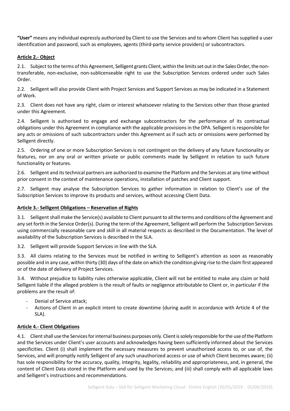**"User"** means any individual expressly authorized by Client to use the Services and to whom Client has supplied a user identification and password, such as employees, agents (third-party service providers) or subcontractors.

#### **Article 2.- Object**

2.1. Subject to the terms of this Agreement, Selligent grants Client, within the limits set out in the Sales Order, the nontransferable, non-exclusive, non-sublicenseable right to use the Subscription Services ordered under such Sales Order.

2.2. Selligent will also provide Client with Project Services and Support Services as may be indicated in a Statement of Work.

2.3. Client does not have any right, claim or interest whatsoever relating to the Services other than those granted under this Agreement.

2.4. Selligent is authorised to engage and exchange subcontractors for the performance of its contractual obligations under this Agreement in compliance with the applicable provisions in the DPA. Selligent is responsible for any acts or omissions of such subcontractors under this Agreement as if such acts or omissions were performed by Selligent directly.

2.5. Ordering of one or more Subscription Services is not contingent on the delivery of any future functionality or features, nor on any oral or written private or public comments made by Selligent in relation to such future functionality or features.

2.6. Selligent and its technical partners are authorized to examine the Platform and the Services at any time without prior consent in the context of maintenance operations, installation of patches and Client support.

2.7. Selligent may analyse the Subscription Services to gather information in relation to Client's use of the Subscription Services to improve its products and services, without accessing Client Data.

#### **Article 3.- Selligent Obligations – Reservation of Rights**

3.1. Selligent shall make the Service(s) available to Client pursuant to all the terms and conditions of the Agreement and any set forth in the Service Order(s). During the term of the Agreement, Selligent will perform the Subscription Services using commercially reasonable care and skill in all material respects as described in the Documentation. The level of availability of the Subscription Services is described in the SLA.

3.2. Selligent will provide Support Services in line with the SLA.

3.3. All claims relating to the Services must be notified in writing to Selligent's attention as soon as reasonably possible and in any case, within thirty (30) days of the date on which the condition giving rise to the claim first appeared or of the date of delivery of Project Services.

3.4. Without prejudice to liability rules otherwise applicable, Client will not be entitled to make any claim or hold Selligent liable if the alleged problem is the result of faults or negligence attributable to Client or, in particular if the problems are the result of:

- Denial of Service attack;
- Actions of Client in an explicit intent to create downtime (during audit in accordance with Article 4 of the SLA).

#### **Article 4.- Client Obligations**

4.1. Client shall use the Services for internal business purposes only. Client is solely responsible for the use of the Platform and the Services under Client's user accounts and acknowledges having been sufficiently informed about the Services specificities. Client (i) shall implement the necessary measures to prevent unauthorized access to, or use of, the Services, and will promptly notify Selligent of any such unauthorized access or use of which Client becomes aware; (ii) has sole responsibility for the accuracy, quality, integrity, legality, reliability and appropriateness, and, in general, the content of Client Data stored in the Platform and used by the Services; and (iii) shall comply with all applicable laws and Selligent's instructions and recommendations.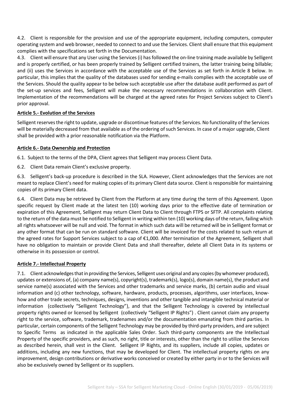4.2. Client is responsible for the provision and use of the appropriate equipment, including computers, computer operating system and web browser, needed to connect to and use the Services. Client shall ensure that this equipment complies with the specifications set forth in the Documentation.

4.3. Client will ensure that any User using the Services (i) has followed the on-line training made available by Selligent and is properly certified, or has been properly trained by Selligent certified trainers, the latter training being billable; and (ii) uses the Services in accordance with the acceptable use of the Services as set forth in Article 8 below. In particular, this implies that the quality of the databases used for sending e-mails complies with the acceptable use of the Services. Should the quality appear to be below such acceptable use after the database audit performed as part of the set-up services and fees, Selligent will make the necessary recommendations in collaboration with Client. Implementation of the recommendations will be charged at the agreed rates for Project Services subject to Client's prior approval.

# **Article 5.- Evolution of the Services**

Selligent reserves the right to update, upgrade or discontinue features of the Services. No functionality of the Services will be materially decreased from that available as of the ordering of such Services. In case of a major upgrade, Client shall be provided with a prior reasonable notification via the Platform.

#### **Article 6.- Data Ownership and Protection**

6.1. Subject to the terms of the DPA, Client agrees that Selligent may process Client Data.

6.2. Client Data remain Client's exclusive property.

6.3. Selligent's back-up procedure is described in the SLA. However, Client acknowledges that the Services are not meant to replace Client's need for making copies of its primary Client data source. Client is responsible for maintaining copies of its primary Client data.

6.4. Client Data may be retrieved by Client from the Platform at any time during the term of this Agreement. Upon specific request by Client made at the latest ten (10) working days prior to the effective date of termination or expiration of this Agreement, Selligent may return Client Data to Client through FTPS or SFTP. All complaints relating to the return of the data must be notified to Selligent in writing within ten (10) working days of the return, failing which all rights whatsoever will be null and void. The format in which such data will be returned will be in Selligent format or any other format that can be run on standard software. Client will be invoiced for the costs related to such return at the agreed rates for Support Services subject to a cap of €1,000. After termination of the Agreement, Selligent shall have no obligation to maintain or provide Client Data and shall thereafter, delete all Client Data in its systems or otherwise in its possession or control.

#### **Article 7.- Intellectual Property**

7.1. Client acknowledges that in providing the Services, Selligent uses original and any copies (by whomever produced), updates or extensions of, (a) company name(s), copyright(s), trademark(s), logo(s), domain name(s), the product and service name(s) associated with the Services and other trademarks and service marks, (b) certain audio and visual information and (c) other technology, software, hardware, products, processes, algorithms, user interfaces, knowhow and other trade secrets, techniques, designs, inventions and other tangible and intangible technical material or information (collectively "Selligent Technology"), and that the Selligent Technology is covered by intellectual property rights owned or licensed by Selligent (collectively "Selligent IP Rights") . Client cannot claim any property right to the service, software, trademark, tradenames and/or the documentation emanating from third parties. In particular, certain components of the Selligent Technology may be provided by third-party providers, and are subject to Specific Terms as indicated in the applicable Sales Order. Such third-party components are the Intellectual Property of the specific providers, and as such, no right, title or interests, other than the right to utilize the Services as described herein, shall vest in the Client. Selligent IP Rights, and its suppliers, include all copies, updates or additions, including any new functions, that may be developed for Client. The intellectual property rights on any improvement, design contributions or derivative works conceived or created by either party in or to the Services will also be exclusively owned by Selligent or its suppliers.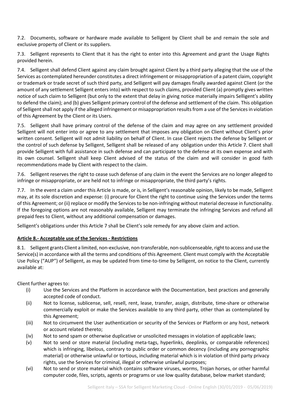7.2. Documents, software or hardware made available to Selligent by Client shall be and remain the sole and exclusive property of Client or its suppliers.

7.3. Selligent represents to Client that it has the right to enter into this Agreement and grant the Usage Rights provided herein.

7.4. Selligent shall defend Client against any claim brought against Client by a third party alleging that the use of the Services as contemplated hereunder constitutes a direct infringement or misappropriation of a patent claim, copyright or trademark or trade secret of such third party, and Selligent will pay damages finally awarded against Client (or the amount of any settlement Selligent enters into) with respect to such claims, provided Client (a) promptly gives written notice of such claim to Selligent (but only to the extent that delay in giving notice materially impairs Selligent's ability to defend the claim); and (b) gives Selligent primary control of the defense and settlement of the claim. This obligation of Selligent shall not apply if the alleged infringement or misappropriation results from a use of the Services in violation of this Agreement by the Client or its Users.

7.5. Selligent shall have primary control of the defense of the claim and may agree on any settlement provided Selligent will not enter into or agree to any settlement that imposes any obligation on Client without Client's prior written consent. Selligent will not admit liability on behalf of Client. In case Client rejects the defense by Selligent or the control of such defense by Selligent, Selligent shall be released of any obligation under this Article 7. Client shall provide Selligent with full assistance in such defense and can participate to the defense at its own expense and with its own counsel. Selligent shall keep Client advised of the status of the claim and will consider in good faith recommendations made by Client with respect to the claim.

7.6. Selligent reserves the right to cease such defense of any claim in the event the Services are no longer alleged to infringe or misappropriate, or are held not to infringe or misappropriate, the third party's rights.

7.7. In the event a claim under this Article is made, or is, in Selligent's reasonable opinion, likely to be made, Selligent may, at its sole discretion and expense: (i) procure for Client the right to continue using the Services under the terms of this Agreement; or (ii) replace or modify the Services to be non-infringing without material decrease in functionality. If the foregoing options are not reasonably available, Selligent may terminate the infringing Services and refund all prepaid fees to Client, without any additional compensation or damages.

Selligent's obligations under this Article 7 shall be Client's sole remedy for any above claim and action.

# **Article 8.- Acceptable use of the Services - Restrictions**

8.1. Selligent grants Client a limited, non-exclusive, non-transferable, non-sublicenseable, right to access and use the Service(s) in accordance with all the terms and conditions of this Agreement. Client must comply with the Acceptable Use Policy ("AUP") of Selligent, as may be updated from time-to-time by Selligent, on notice to the Client, currently available at:

Client further agrees to:

- (i) Use the Services and the Platform in accordance with the Documentation, best practices and generally accepted code of conduct.
- (ii) Not to license, sublicense, sell, resell, rent, lease, transfer, assign, distribute, time-share or otherwise commercially exploit or make the Services available to any third party, other than as contemplated by this Agreement;
- (iii) Not to circumvent the User authentication or security of the Services or Platform or any host, network or account related thereto;
- (iv) Not to send spam or otherwise duplicative or unsolicited messages in violation of applicable laws;
- (v) Not to send or store material (including meta-tags, hyperlinks, deeplinks, or comparable references) which is infringing, libelous, contrary to public order or common decency (including any pornographic material) or otherwise unlawful or tortious, including material which is in violation of third party privacy rights, use the Services for criminal, illegal or otherwise unlawful purposes;
- (vi) Not to send or store material which contains software viruses, worms, Trojan horses, or other harmful computer code, files, scripts, agents or programs or use low quality database, below market standard;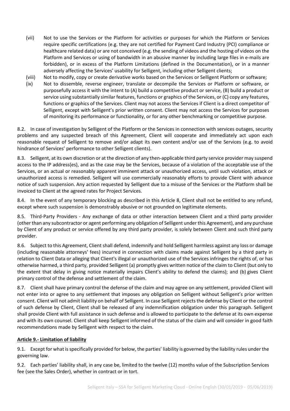- (vii) Not to use the Services or the Platform for activities or purposes for which the Platform or Services require specific certifications (e.g. they are not certified for Payment Card Industry (PCI) compliance or healthcare related data) or are not conceived (e.g. the sending of videos and the hosting of videos on the Platform and Services or using of bandwidth in an abusive manner by including large files in e-mails are forbidden), or in excess of the Platform Limitations (defined in the Documentation), or in a manner adversely affecting the Services' usability for Selligent, including other Selligent clients;
- (viii) Not to modify, copy or create derivative works based on the Services or Selligent Platform or software;
- (ix) Not to dissemble, reverse engineer, translate or decompile the Services or Platform or software, or purposefully access it with the intent to (A) build a competitive product or service, (B) build a product or service using substantially similar features, functions or graphics of the Services, or (C) copy any features, functions or graphics of the Services. Client may not access the Services if Client is a direct competitor of Selligent, except with Selligent's prior written consent. Client may not access the Services for purposes of monitoring its performance or functionality, or for any other benchmarking or competitive purpose.

8.2. In case of investigation by Selligent of the Platform or the Services in connection with services outages, security problems and any suspected breach of this Agreement, Client will cooperate and immediately act upon each reasonable request of Selligent to remove and/or adapt its own content and/or use of the Services (e.g. to avoid hindrance of Services' performance to other Selligent clients).

8.3. Selligent, at its own discretion or at the direction of any then-applicable third party service provider may suspend access to the IP address(es), and as the case may be the Services, because of a violation of the acceptable use of the Services, or an actual or reasonably apparent imminent attack or unauthorized access, until such violation, attack or unauthorized access is remedied. Selligent will use commercially reasonably efforts to provide Client with advance notice of such suspension. Any action requested by Selligent due to a misuse of the Services or the Platform shall be invoiced to Client at the agreed rates for Project Services.

8.4. In the event of any temporary blocking as described in this Article 8, Client shall not be entitled to any refund, except where such suspension is demonstrably abusive or not grounded on legitimate elements.

8.5. Third-Party Providers - Any exchange of data or other interaction between Client and a third party provider (other than any subcontractor or agent performing any obligation of Selligent under this Agreement), and any purchase by Client of any product or service offered by any third party provider, is solely between Client and such third party provider.

8.6. Subject to this Agreement, Client shall defend, indemnify and hold Selligent harmless against any loss or damage (including reasonable attorneys' fees) incurred in connection with claims made against Selligent by a third party in relation to Client Data or alleging that Client's illegal or unauthorized use of the Services infringes the rights of, or has otherwise harmed, a third party, provided Selligent (a) promptly gives written notice of the claim to Client (but only to the extent that delay in giving notice materially impairs Client's ability to defend the claims); and (b) gives Client primary control of the defense and settlement of the claim.

8.7. Client shall have primary control the defense of the claim and may agree on any settlement, provided Client will not enter into or agree to any settlement that imposes any obligation on Selligent without Selligent's prior written consent. Client will not admit liability on behalf of Selligent. In case Selligent rejects the defense by Client or the control of such defense by Client, Client shall be released of any indemnification obligation under this paragraph. Selligent shall provide Client with full assistance in such defense and is allowed to participate to the defense at its own expense and with its own counsel. Client shall keep Selligent informed of the status of the claim and will consider in good faith recommendations made by Selligent with respect to the claim.

# **Article 9.- Limitation of liability**

9.1. Except for what is specifically provided for below, the parties' liability is governed by the liability rules under the governing law.

9.2. Each parties' liability shall, in any case be, limited to the twelve (12) months value of the Subscription Services fee (see the Sales Order), whether in contract or in tort.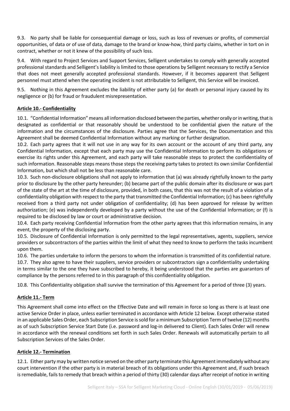9.3. No party shall be liable for consequential damage or loss, such as loss of revenues or profits, of commercial opportunities, of data or of use of data, damage to the brand or know-how, third party claims, whether in tort on in contract, whether or not it knew of the possibility of such loss.

9.4. With regard to Project Services and Support Services, Selligent undertakes to comply with generally accepted professional standards and Selligent's liability is limited to those operations by Selligent necessary to rectify a Service that does not meet generally accepted professional standards. However, if it becomes apparent that Selligent personnel must attend when the operating incident is not attributable to Selligent, this Service will be invoiced.

9.5. Nothing in this Agreement excludes the liability of either party (a) for death or personal injury caused by its negligence or (b) for fraud or fraudulent misrepresentation.

# **Article 10.- Confidentiality**

10.1. "Confidential Information" means all information disclosed between the parties, whether orally or in writing, that is designated as confidential or that reasonably should be understood to be confidential given the nature of the information and the circumstances of the disclosure. Parties agree that the Services, the Documentation and this Agreement shall be deemed Confidential Information without any marking or further designation.

10.2. Each party agrees that it will not use in any way for its own account or the account of any third party, any Confidential Information, except that each party may use the Confidential Information to perform its obligations or exercise its rights under this Agreement, and each party will take reasonable steps to protect the confidentiality of such information. Reasonable steps means those steps the receiving party takes to protect its own similar Confidential Information, but which shall not be less than reasonable care.

10.3. Such non-disclosure obligations shall not apply to information that (a) was already rightfully known to the party prior to disclosure by the other party hereunder; (b) became part of the public domain after its disclosure or was part of the state of the art at the time of disclosure, provided, in both cases, that this was not the result of a violation of a confidentiality obligation with respect to the party that transmitted the Confidential Information; (c) has been rightfully received from a third party not under obligation of confidentiality; (d) has been approved for release by written authorization; (e) was independently developed by a party without the use of the Confidential Information; or (f) is required to be disclosed by law or court or administrative decision.

10.4. Each party receiving Confidential Information from the other party agrees that this information remains, in any event, the property of the disclosing party.

10.5. Disclosure of Confidential Information is only permitted to the legal representatives, agents, suppliers, service providers or subcontractors of the parties within the limit of what they need to know to perform the tasks incumbent upon them.

10.6. The parties undertake to inform the persons to whom the information is transmitted of its confidential nature. 10.7. They also agree to have their suppliers, service providers or subcontractors sign a confidentiality undertaking in terms similar to the one they have subscribed to hereby, it being understood that the parties are guarantors of compliance by the persons referred to in this paragraph of this confidentiality obligation.

10.8. This Confidentiality obligation shall survive the termination of this Agreement for a period of three (3) years.

# **Article 11.- Term**

This Agreement shall come into effect on the Effective Date and will remain in force so long as there is at least one active Service Order in place, unless earlier terminated in accordance with Article 12 below. Except otherwise stated in an applicable Sales Order, each Subscription Service is sold for a minimum Subscription Term of twelve (12) months as of such Subscription Service Start Date (i.e. password and log-in delivered to Client). Each Sales Order will renew in accordance with the renewal conditions set forth in such Sales Order. Renewals will automatically pertain to all Subscription Services of the Sales Order.

# **Article 12.- Termination**

12.1. Either party may by written notice served on the other party terminate this Agreement immediately without any court intervention if the other party is in material breach of its obligations under this Agreement and, if such breach is remediable, fails to remedy that breach within a period of thirty (30) calendar days after receipt of notice in writing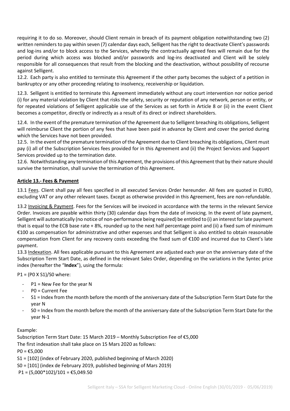requiring it to do so. Moreover, should Client remain in breach of its payment obligation notwithstanding two (2) written reminders to pay within seven (7) calendar days each, Selligent has the right to deactivate Client's passwords and log-ins and/or to block access to the Services, whereby the contractually agreed fees will remain due for the period during which access was blocked and/or passwords and log-ins deactivated and Client will be solely responsible for all consequences that result from the blocking and the deactivation, without possibility of recourse against Selligent.

12.2. Each party is also entitled to terminate this Agreement if the other party becomes the subject of a petition in bankruptcy or any other proceeding relating to insolvency, receivership or liquidation.

12.3. Selligent is entitled to terminate this Agreement immediately without any court intervention nor notice period (i) for any material violation by Client that risks the safety, security or reputation of any network, person or entity, or for repeated violations of Selligent applicable use of the Services as set forth in Article 8 or (ii) in the event Client becomes a competitor, directly or indirectly as a result of its direct or indirect shareholders.

12.4. In the event of the premature termination of the Agreement due to Selligent breaching its obligations, Selligent will reimburse Client the portion of any fees that have been paid in advance by Client and cover the period during which the Services have not been provided.

12.5. In the event of the premature termination of the Agreement due to Client breaching its obligations, Client must pay (i) all of the Subscription Services fees provided for in this Agreement and (ii) the Project Services and Support Services provided up to the termination date.

12.6. Notwithstanding any termination of this Agreement, the provisions of this Agreement that by their nature should survive the termination, shall survive the termination of this Agreement.

# **Article 13.- Fees & Payment**

13.1 Fees. Client shall pay all fees specified in all executed Services Order hereunder. All fees are quoted in EURO, excluding VAT or any other relevant taxes. Except as otherwise provided in this Agreement, fees are non-refundable.

13.2 Invoicing & Payment. Fees for the Services will be invoiced in accordance with the terms in the relevant Service Order. Invoices are payable within thirty (30) calendar days from the date of invoicing. In the event of late payment, Selligent will automatically (no notice of non-performance being required) be entitled to (i) an interest for late payment that is equal to the ECB base rate + 8%, rounded up to the next half percentage point and (ii) a fixed sum of minimum €100 as compensation for administrative and other expenses and that Selligent is also entitled to obtain reasonable compensation from Client for any recovery costs exceeding the fixed sum of €100 and incurred due to Client's late payment.

13.3 Indexation. All fees applicable pursuant to this Agreement are adjusted each year on the anniversary date of the Subscription Term Start Date, as defined in the relevant Sales Order, depending on the variations in the Syntec price index (hereafter the "**Index**"), using the formula:

P1 = (P0 X S1)/S0 where:

- $P1$  = New Fee for the year N
- P0 = Current Fee
- S1 = Index from the month before the month of the anniversary date of the Subscription Term Start Date for the year N
- S0 = Index from the month before the month of the anniversary date of the Subscription Term Start Date for the year N-1

# Example:

Subscription Term Start Date: 15 March 2019 – Monthly Subscription Fee of €5,000

The first indexation shall take place on 15 Mars 2020 as follows:

 $PO = £5,000$ 

- S1 = [102] (index of February 2020, published beginning of March 2020)
- S0 = [101] (index de February 2019, published beginning of Mars 2019)
- $P1 = (5,000*102)/101 = \text{\textsterling}5,049.50$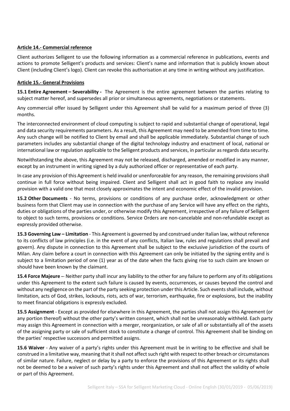#### **Article 14.- Commercial reference**

Client authorizes Selligent to use the following information as a commercial reference in publications, events and actions to promote Selligent's products and services: Client's name and information that is publicly known about Client (including Client's logo). Client can revoke this authorisation at any time in writing without any justification.

#### **Article 15.- General Provisions**

**15.1 Entire Agreement – Severability -** The Agreement is the entire agreement between the parties relating to subject matter hereof, and supersedes all prior or simultaneous agreements, negotiations or statements.

Any commercial offer issued by Selligent under this Agreement shall be valid for a maximum period of three (3) months.

The interconnected environment of cloud computing is subject to rapid and substantial change of operational, legal and data security requirements parameters. As a result, this Agreement may need to be amended from time to time. Any such change will be notified to Client by email and shall be applicable immediately. Substantial change of such parameters includes any substantial change of the digital technology industry and enactment of local, national or international law or regulation applicable to the Selligent products and services, in particular as regards data security.

Notwithstanding the above, this Agreement may not be released, discharged, amended or modified in any manner, except by an instrument in writing signed by a duly authorized officer or representative of each party.

In case any provision of this Agreement is held invalid or unenforceable for any reason, the remaining provisions shall continue in full force without being impaired. Client and Selligent shall act in good faith to replace any invalid provision with a valid one that most closely approximates the intent and economic effect of the invalid provision.

**15.2 Other Documents** - No terms, provisions or conditions of any purchase order, acknowledgment or other business form that Client may use in connection with the purchase of any Service will have any effect on the rights, duties or obligations of the parties under, or otherwise modify this Agreement, irrespective of any failure of Selligent to object to such terms, provisions or conditions. Service Orders are non-cancelable and non-refundable except as expressly provided otherwise.

**15.3 Governing Law – Limitation** - This Agreement is governed by and construed under Italian law, without reference to its conflicts of law principles (i.e. in the event of any conflicts, Italian law, rules and regulations shall prevail and govern). Any dispute in connection to this Agreement shall be subject to the exclusive jurisdiction of the courts of Milan. Any claim before a court in connection with this Agreement can only be initiated by the signing entity and is subject to a limitation period of one (1) year as of the date when the facts giving rise to such claim are known or should have been known by the claimant.

**15.4 Force Majeure -**- Neither party shall incur any liability to the other for any failure to perform any of its obligations under this Agreement to the extent such failure is caused by events, occurrences, or causes beyond the control and without any negligence on the part of the party seeking protection under this Article. Such events shall include, without limitation, acts of God, strikes, lockouts, riots, acts of war, terrorism, earthquake, fire or explosions, but the inability to meet financial obligations is expressly excluded.

**15.5 Assignment** - Except as provided for elsewhere in this Agreement, the parties shall not assign this Agreement (or any portion thereof) without the other party's written consent, which shall not be unreasonably withheld. Each party may assign this Agreement in connection with a merger, reorganization, or sale of all or substantially all of the assets of the assigning party or sale of sufficient stock to constitute a change of control. This Agreement shall be binding on the parties' respective successors and permitted assigns.

**15.6 Waiver** - Any waiver of a party's rights under this Agreement must be in writing to be effective and shall be construed in a limitative way, meaning that it shall not affect such right with respect to other breach or circumstances of similar nature. Failure, neglect or delay by a party to enforce the provisions of this Agreement or its rights shall not be deemed to be a waiver of such party's rights under this Agreement and shall not affect the validity of whole or part of this Agreement.